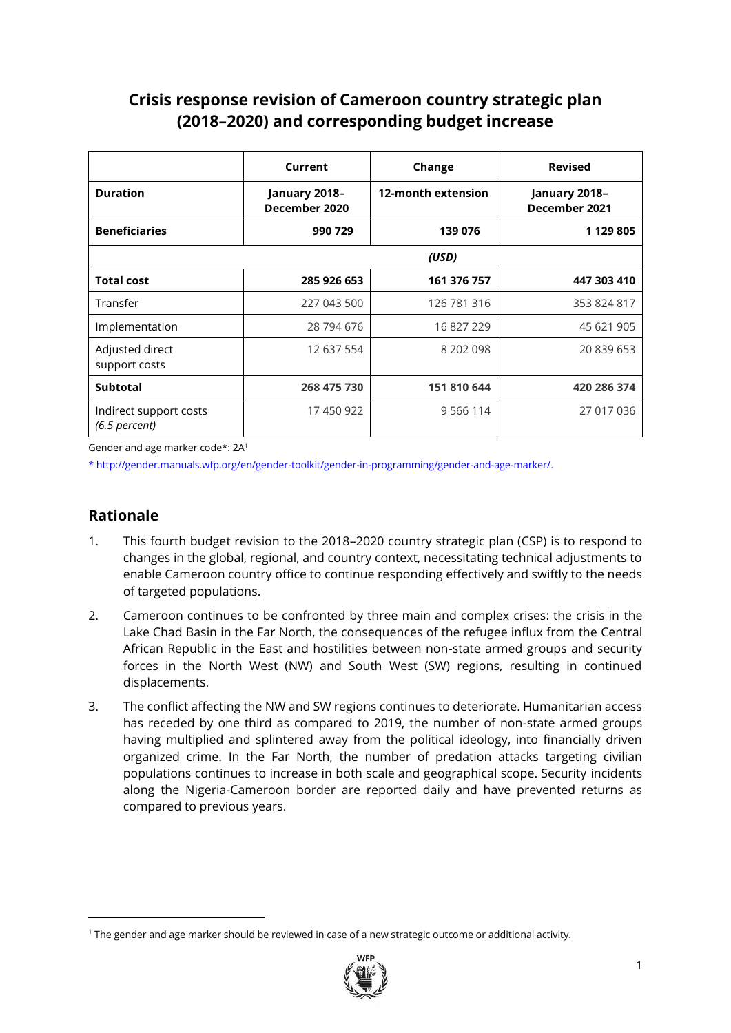# **Crisis response revision of Cameroon country strategic plan (2018–2020) and corresponding budget increase**

|                                           | Current                        | Change             | <b>Revised</b>                 |
|-------------------------------------------|--------------------------------|--------------------|--------------------------------|
| <b>Duration</b>                           | January 2018-<br>December 2020 | 12-month extension | January 2018-<br>December 2021 |
| <b>Beneficiaries</b>                      | 990 729                        | 139 076            | 1 129 805                      |
|                                           |                                | (USD)              |                                |
| <b>Total cost</b>                         | 285 926 653                    | 161 376 757        | 447 303 410                    |
| Transfer                                  | 227 043 500                    | 126 781 316        | 353 824 817                    |
| Implementation                            | 28 794 676                     | 16 827 229         | 45 621 905                     |
| Adjusted direct<br>support costs          | 12 637 554                     | 8 202 098          | 20 839 653                     |
| <b>Subtotal</b>                           | 268 475 730                    | 151 810 644        | 420 286 374                    |
| Indirect support costs<br>$(6.5$ percent) | 17 450 922                     | 9 5 6 11 4         | 27 017 036                     |

Gender and age marker code\*: 2A<sup>1</sup>

\* http://gender.manuals.wfp.org/en/gender-toolkit/gender-in-programming/gender-and-age-marker/.

# **Rationale**

- 1. This fourth budget revision to the 2018–2020 country strategic plan (CSP) is to respond to changes in the global, regional, and country context, necessitating technical adjustments to enable Cameroon country office to continue responding effectively and swiftly to the needs of targeted populations.
- 2. Cameroon continues to be confronted by three main and complex crises: the crisis in the Lake Chad Basin in the Far North, the consequences of the refugee influx from the Central African Republic in the East and hostilities between non-state armed groups and security forces in the North West (NW) and South West (SW) regions, resulting in continued displacements.
- 3. The conflict affecting the NW and SW regions continues to deteriorate. Humanitarian access has receded by one third as compared to 2019, the number of non-state armed groups having multiplied and splintered away from the political ideology, into financially driven organized crime. In the Far North, the number of predation attacks targeting civilian populations continues to increase in both scale and geographical scope. Security incidents along the Nigeria-Cameroon border are reported daily and have prevented returns as compared to previous years.

<sup>&</sup>lt;sup>1</sup> The gender and age marker should be reviewed in case of a new strategic outcome or additional activity.

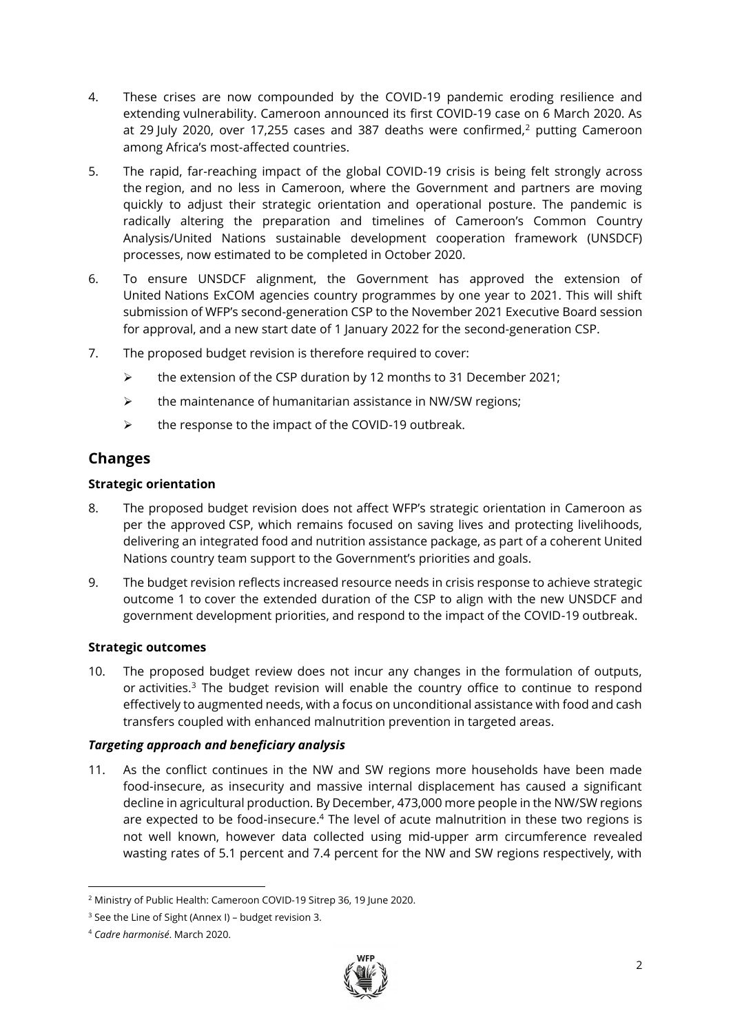- 4. These crises are now compounded by the COVID-19 pandemic eroding resilience and extending vulnerability. Cameroon announced its first COVID-19 case on 6 March 2020. As at 29 July 2020, over 17,255 cases and 387 deaths were confirmed, $2$  putting Cameroon among Africa's most-affected countries.
- 5. The rapid, far-reaching impact of the global COVID-19 crisis is being felt strongly across the region, and no less in Cameroon, where the Government and partners are moving quickly to adjust their strategic orientation and operational posture. The pandemic is radically altering the preparation and timelines of Cameroon's Common Country Analysis/United Nations sustainable development cooperation framework (UNSDCF) processes, now estimated to be completed in October 2020.
- 6. To ensure UNSDCF alignment, the Government has approved the extension of United Nations ExCOM agencies country programmes by one year to 2021. This will shift submission of WFP's second-generation CSP to the November 2021 Executive Board session for approval, and a new start date of 1 January 2022 for the second-generation CSP.
- 7. The proposed budget revision is therefore required to cover:
	- ➢ the extension of the CSP duration by 12 months to 31 December 2021;
	- $\triangleright$  the maintenance of humanitarian assistance in NW/SW regions;
	- ➢ the response to the impact of the COVID-19 outbreak.

# **Changes**

### **Strategic orientation**

- 8. The proposed budget revision does not affect WFP's strategic orientation in Cameroon as per the approved CSP, which remains focused on saving lives and protecting livelihoods, delivering an integrated food and nutrition assistance package, as part of a coherent United Nations country team support to the Government's priorities and goals.
- 9. The budget revision reflects increased resource needs in crisis response to achieve strategic outcome 1 to cover the extended duration of the CSP to align with the new UNSDCF and government development priorities, and respond to the impact of the COVID-19 outbreak.

### **Strategic outcomes**

10. The proposed budget review does not incur any changes in the formulation of outputs, or activities.<sup>3</sup> The budget revision will enable the country office to continue to respond effectively to augmented needs, with a focus on unconditional assistance with food and cash transfers coupled with enhanced malnutrition prevention in targeted areas.

### *Targeting approach and beneficiary analysis*

11. As the conflict continues in the NW and SW regions more households have been made food-insecure, as insecurity and massive internal displacement has caused a significant decline in agricultural production. By December, 473,000 more people in the NW/SW regions are expected to be food-insecure. <sup>4</sup> The level of acute malnutrition in these two regions is not well known, however data collected using mid-upper arm circumference revealed wasting rates of 5.1 percent and 7.4 percent for the NW and SW regions respectively, with



<sup>2</sup> Ministry of Public Health: Cameroon COVID-19 Sitrep 36, 19 June 2020.

<sup>&</sup>lt;sup>3</sup> See the Line of Sight (Annex I) – budget revision 3.

<sup>4</sup> *Cadre harmonisé*. March 2020.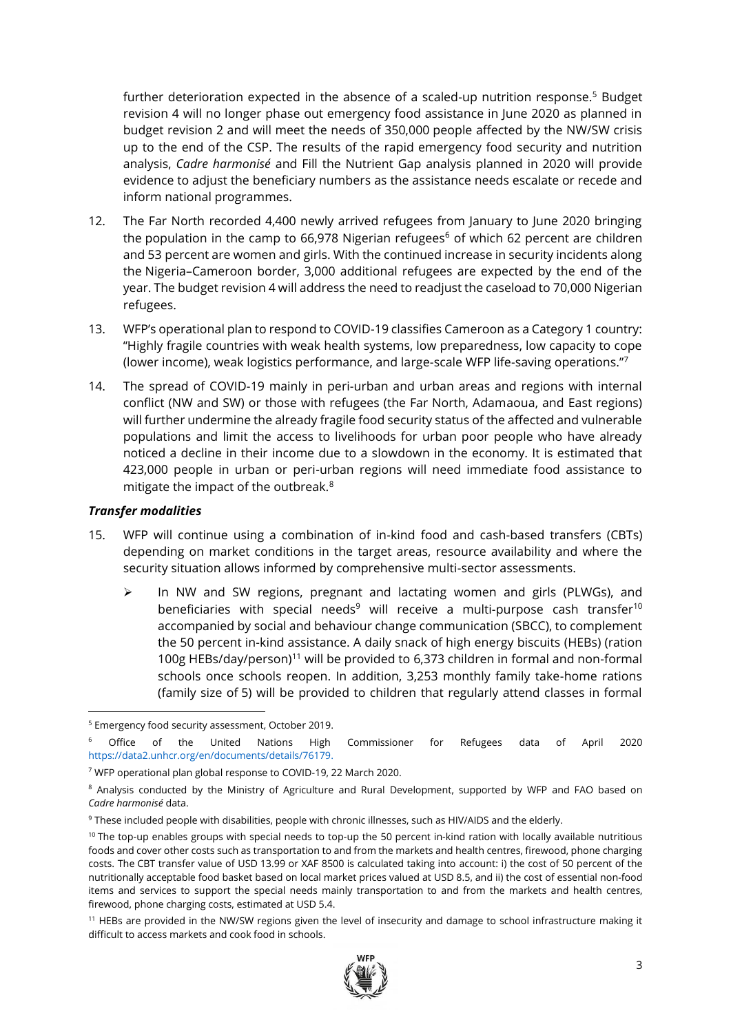further deterioration expected in the absence of a scaled-up nutrition response.<sup>5</sup> Budget revision 4 will no longer phase out emergency food assistance in June 2020 as planned in budget revision 2 and will meet the needs of 350,000 people affected by the NW/SW crisis up to the end of the CSP. The results of the rapid emergency food security and nutrition analysis, *Cadre harmonisé* and Fill the Nutrient Gap analysis planned in 2020 will provide evidence to adjust the beneficiary numbers as the assistance needs escalate or recede and inform national programmes.

- 12. The Far North recorded 4,400 newly arrived refugees from January to June 2020 bringing the population in the camp to 66,978 Nigerian refugees $6$  of which 62 percent are children and 53 percent are women and girls. With the continued increase in security incidents along the Nigeria–Cameroon border, 3,000 additional refugees are expected by the end of the year. The budget revision 4 will address the need to readjust the caseload to 70,000 Nigerian refugees.
- 13. WFP's operational plan to respond to COVID-19 classifies Cameroon as a Category 1 country: "Highly fragile countries with weak health systems, low preparedness, low capacity to cope (lower income), weak logistics performance, and large-scale WFP life-saving operations."<sup>7</sup>
- 14. The spread of COVID-19 mainly in peri-urban and urban areas and regions with internal conflict (NW and SW) or those with refugees (the Far North, Adamaoua, and East regions) will further undermine the already fragile food security status of the affected and vulnerable populations and limit the access to livelihoods for urban poor people who have already noticed a decline in their income due to a slowdown in the economy. It is estimated that 423,000 people in urban or peri-urban regions will need immediate food assistance to mitigate the impact of the outbreak.<sup>8</sup>

#### *Transfer modalities*

- 15. WFP will continue using a combination of in-kind food and cash-based transfers (CBTs) depending on market conditions in the target areas, resource availability and where the security situation allows informed by comprehensive multi-sector assessments.
	- In NW and SW regions, pregnant and lactating women and girls (PLWGs), and beneficiaries with special needs<sup>9</sup> will receive a multi-purpose cash transfer<sup>10</sup> accompanied by social and behaviour change communication (SBCC), to complement the 50 percent in-kind assistance. A daily snack of high energy biscuits (HEBs) (ration 100g HEBs/day/person)<sup>11</sup> will be provided to 6,373 children in formal and non-formal schools once schools reopen. In addition, 3,253 monthly family take-home rations (family size of 5) will be provided to children that regularly attend classes in formal

<sup>&</sup>lt;sup>11</sup> HEBs are provided in the NW/SW regions given the level of insecurity and damage to school infrastructure making it difficult to access markets and cook food in schools.



<sup>5</sup> Emergency food security assessment, October 2019.

<sup>&</sup>lt;sup>6</sup> Office of the United Nations High Commissioner for Refugees data of April 2020 [https://data2.unhcr.org/en/documents/details/76179.](https://data2.unhcr.org/en/documents/details/76179)

<sup>7</sup> WFP operational plan global response to COVID-19, 22 March 2020.

<sup>8</sup> Analysis conducted by the Ministry of Agriculture and Rural Development, supported by WFP and FAO based on *Cadre harmonisé* data.

<sup>9</sup> These included people with disabilities, people with chronic illnesses, such as HIV/AIDS and the elderly.

 $10$  The top-up enables groups with special needs to top-up the 50 percent in-kind ration with locally available nutritious foods and cover other costs such as transportation to and from the markets and health centres, firewood, phone charging costs. The CBT transfer value of USD 13.99 or XAF 8500 is calculated taking into account: i) the cost of 50 percent of the nutritionally acceptable food basket based on local market prices valued at USD 8.5, and ii) the cost of essential non-food items and services to support the special needs mainly transportation to and from the markets and health centres, firewood, phone charging costs, estimated at USD 5.4.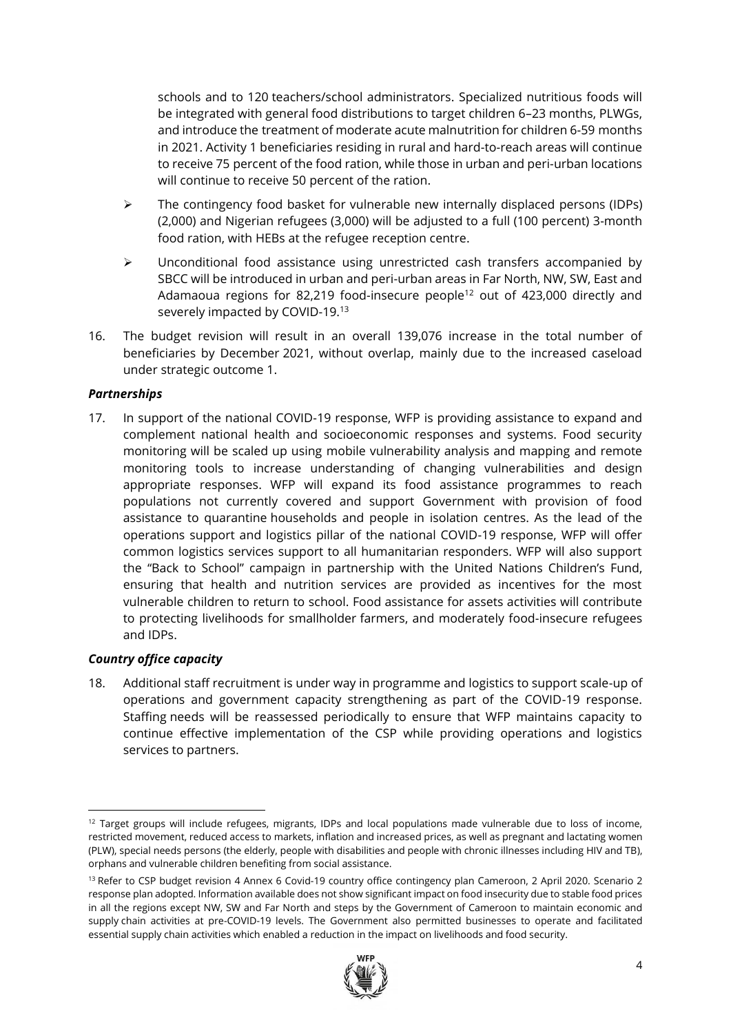schools and to 120 teachers/school administrators. Specialized nutritious foods will be integrated with general food distributions to target children 6–23 months, PLWGs, and introduce the treatment of moderate acute malnutrition for children 6-59 months in 2021. Activity 1 beneficiaries residing in rural and hard-to-reach areas will continue to receive 75 percent of the food ration, while those in urban and peri-urban locations will continue to receive 50 percent of the ration.

- ➢ The contingency food basket for vulnerable new internally displaced persons (IDPs) (2,000) and Nigerian refugees (3,000) will be adjusted to a full (100 percent) 3-month food ration, with HEBs at the refugee reception centre.
- ➢ Unconditional food assistance using unrestricted cash transfers accompanied by SBCC will be introduced in urban and peri-urban areas in Far North, NW, SW, East and Adamaoua regions for 82,219 food-insecure people<sup>12</sup> out of 423,000 directly and severely impacted by COVID-19.<sup>13</sup>
- 16. The budget revision will result in an overall 139,076 increase in the total number of beneficiaries by December 2021, without overlap, mainly due to the increased caseload under strategic outcome 1.

### *Partnerships*

17. In support of the national COVID-19 response, WFP is providing assistance to expand and complement national health and socioeconomic responses and systems. Food security monitoring will be scaled up using mobile vulnerability analysis and mapping and remote monitoring tools to increase understanding of changing vulnerabilities and design appropriate responses. WFP will expand its food assistance programmes to reach populations not currently covered and support Government with provision of food assistance to quarantine households and people in isolation centres. As the lead of the operations support and logistics pillar of the national COVID-19 response, WFP will offer common logistics services support to all humanitarian responders. WFP will also support the "Back to School" campaign in partnership with the United Nations Children's Fund, ensuring that health and nutrition services are provided as incentives for the most vulnerable children to return to school. Food assistance for assets activities will contribute to protecting livelihoods for smallholder farmers, and moderately food-insecure refugees and IDPs.

# *Country office capacity*

18. Additional staff recruitment is under way in programme and logistics to support scale-up of operations and government capacity strengthening as part of the COVID-19 response. Staffing needs will be reassessed periodically to ensure that WFP maintains capacity to continue effective implementation of the CSP while providing operations and logistics services to partners.

<sup>&</sup>lt;sup>13</sup> Refer to CSP budget revision 4 Annex 6 Covid-19 country office contingency plan Cameroon, 2 April 2020. Scenario 2 response plan adopted. Information available does not show significant impact on food insecurity due to stable food prices in all the regions except NW, SW and Far North and steps by the Government of Cameroon to maintain economic and supply chain activities at pre-COVID-19 levels. The Government also permitted businesses to operate and facilitated essential supply chain activities which enabled a reduction in the impact on livelihoods and food security.



 $12$  Target groups will include refugees, migrants, IDPs and local populations made vulnerable due to loss of income, restricted movement, reduced access to markets, inflation and increased prices, as well as pregnant and lactating women (PLW), special needs persons (the elderly, people with disabilities and people with chronic illnesses including HIV and TB), orphans and vulnerable children benefiting from social assistance.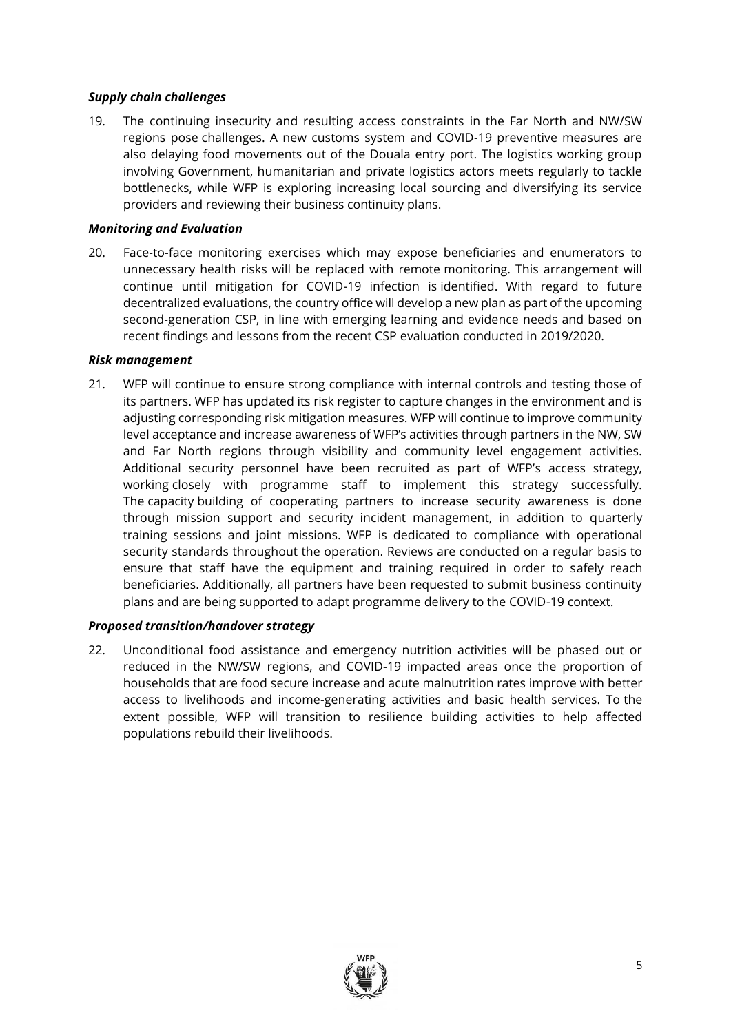### *Supply chain challenges*

19. The continuing insecurity and resulting access constraints in the Far North and NW/SW regions pose challenges. A new customs system and COVID-19 preventive measures are also delaying food movements out of the Douala entry port. The logistics working group involving Government, humanitarian and private logistics actors meets regularly to tackle bottlenecks, while WFP is exploring increasing local sourcing and diversifying its service providers and reviewing their business continuity plans.

## *Monitoring and Evaluation*

20. Face-to-face monitoring exercises which may expose beneficiaries and enumerators to unnecessary health risks will be replaced with remote monitoring. This arrangement will continue until mitigation for COVID-19 infection is identified. With regard to future decentralized evaluations, the country office will develop a new plan as part of the upcoming second-generation CSP, in line with emerging learning and evidence needs and based on recent findings and lessons from the recent CSP evaluation conducted in 2019/2020.

### *Risk management*

21. WFP will continue to ensure strong compliance with internal controls and testing those of its partners. WFP has updated its risk register to capture changes in the environment and is adjusting corresponding risk mitigation measures. WFP will continue to improve community level acceptance and increase awareness of WFP's activities through partners in the NW, SW and Far North regions through visibility and community level engagement activities. Additional security personnel have been recruited as part of WFP's access strategy, working closely with programme staff to implement this strategy successfully. The capacity building of cooperating partners to increase security awareness is done through mission support and security incident management, in addition to quarterly training sessions and joint missions. WFP is dedicated to compliance with operational security standards throughout the operation. Reviews are conducted on a regular basis to ensure that staff have the equipment and training required in order to safely reach beneficiaries. Additionally, all partners have been requested to submit business continuity plans and are being supported to adapt programme delivery to the COVID-19 context.

# *Proposed transition/handover strategy*

22. Unconditional food assistance and emergency nutrition activities will be phased out or reduced in the NW/SW regions, and COVID-19 impacted areas once the proportion of households that are food secure increase and acute malnutrition rates improve with better access to livelihoods and income-generating activities and basic health services. To the extent possible, WFP will transition to resilience building activities to help affected populations rebuild their livelihoods.

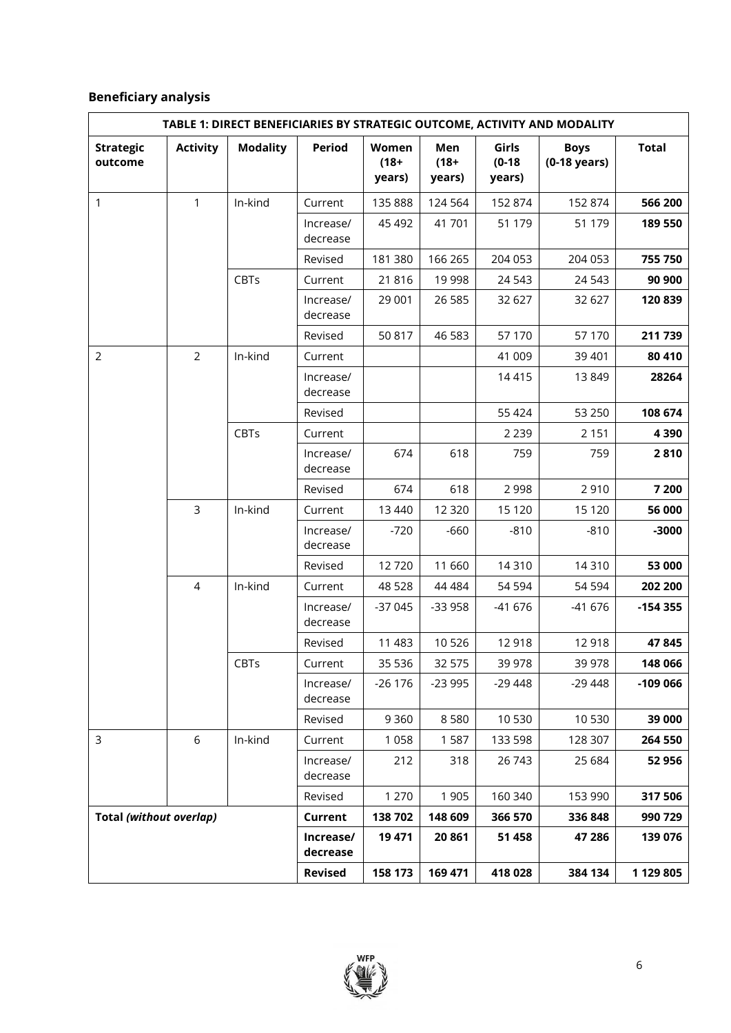# **Beneficiary analysis**

| TABLE 1: DIRECT BENEFICIARIES BY STRATEGIC OUTCOME, ACTIVITY AND MODALITY |                 |                 |                       |                            |                          |                             |                                       |              |
|---------------------------------------------------------------------------|-----------------|-----------------|-----------------------|----------------------------|--------------------------|-----------------------------|---------------------------------------|--------------|
| <b>Strategic</b><br>outcome                                               | <b>Activity</b> | <b>Modality</b> | Period                | Women<br>$(18 +$<br>years) | Men<br>$(18 +$<br>years) | Girls<br>$(0-18)$<br>years) | <b>Boys</b><br>$(0-18 \text{ years})$ | <b>Total</b> |
| 1                                                                         | $\mathbf{1}$    | In-kind         | Current               | 135 888                    | 124 564                  | 152 874                     | 152 874                               | 566 200      |
|                                                                           |                 |                 | Increase/<br>decrease | 45 492                     | 41 701                   | 51 179                      | 51 179                                | 189 550      |
|                                                                           |                 |                 | Revised               | 181 380                    | 166 265                  | 204 053                     | 204 053                               | 755 750      |
|                                                                           |                 | CBTs            | Current               | 21816                      | 19 998                   | 24 5 43                     | 24 5 43                               | 90 900       |
|                                                                           |                 |                 | Increase/<br>decrease | 29 001                     | 26 5 85                  | 32 627                      | 32 627                                | 120 839      |
|                                                                           |                 |                 | Revised               | 50 817                     | 46 583                   | 57 170                      | 57 170                                | 211 739      |
| $\overline{2}$                                                            | $\overline{2}$  | In-kind         | Current               |                            |                          | 41 009                      | 39 401                                | 80 410       |
|                                                                           |                 |                 | Increase/<br>decrease |                            |                          | 14 4 15                     | 13849                                 | 28264        |
|                                                                           |                 |                 | Revised               |                            |                          | 55 424                      | 53 250                                | 108 674      |
|                                                                           |                 | CBTs            | Current               |                            |                          | 2 2 3 9                     | 2 1 5 1                               | 4 3 9 0      |
|                                                                           |                 |                 | Increase/<br>decrease | 674                        | 618                      | 759                         | 759                                   | 2810         |
|                                                                           |                 |                 | Revised               | 674                        | 618                      | 2 9 9 8                     | 2910                                  | 7 200        |
|                                                                           | $\overline{3}$  | In-kind         | Current               | 13 440                     | 12 3 20                  | 15 120                      | 15 120                                | 56 000       |
|                                                                           |                 |                 | Increase/<br>decrease | $-720$                     | $-660$                   | $-810$                      | $-810$                                | $-3000$      |
|                                                                           |                 |                 | Revised               | 12720                      | 11 660                   | 14 3 10                     | 14310                                 | 53 000       |
|                                                                           | $\overline{4}$  | In-kind         | Current               | 48 5 28                    | 44 484                   | 54 594                      | 54 594                                | 202 200      |
|                                                                           |                 |                 | Increase/<br>decrease | $-37045$                   | $-33958$                 | $-41676$                    | $-41676$                              | $-154355$    |
|                                                                           |                 |                 | Revised               | 11 483                     | 10 5 26                  | 12 918                      | 12918                                 | 47845        |
|                                                                           |                 | CBTs            | Current               | 35 536                     | 32 575                   | 39 978                      | 39 978                                | 148 066      |
|                                                                           |                 |                 | Increase/<br>decrease | $-26176$                   | $-23995$                 | $-29448$                    | $-29448$                              | $-109066$    |
|                                                                           |                 |                 | Revised               | 9 3 6 0                    | 8580                     | 10 530                      | 10530                                 | 39 000       |
| 3                                                                         | 6               | In-kind         | Current               | 1 0 5 8                    | 1 5 8 7                  | 133 598                     | 128 307                               | 264 550      |
|                                                                           |                 |                 | Increase/<br>decrease | 212                        | 318                      | 26 743                      | 25 684                                | 52 956       |
|                                                                           |                 |                 | Revised               | 1 2 7 0                    | 1 9 0 5                  | 160 340                     | 153 990                               | 317 506      |
| Total (without overlap)                                                   |                 |                 | Current               | 138 702                    | 148 609                  | 366 570                     | 336 848                               | 990 729      |
|                                                                           |                 |                 | Increase/<br>decrease | 19 471                     | 20 861                   | 51 458                      | 47 28 6                               | 139 076      |
|                                                                           |                 |                 | <b>Revised</b>        | 158 173                    | 169 471                  | 418 028                     | 384 134                               | 1 129 805    |

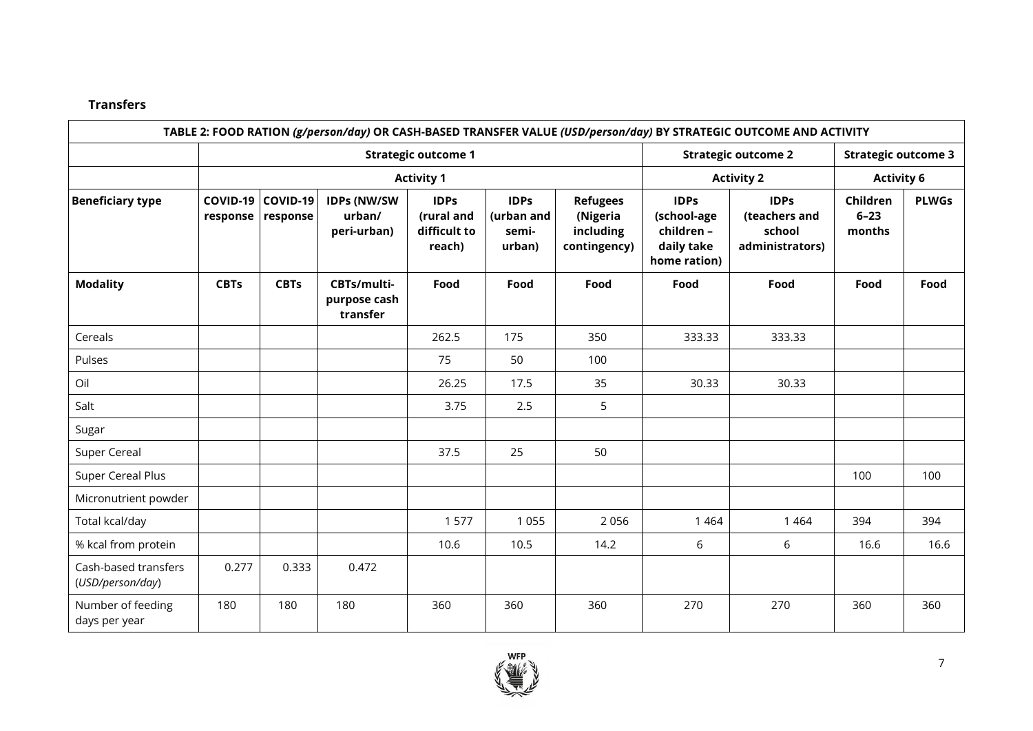# **Transfers**

|                                          |                      |                      |                                             |                                                     |                                                 |                                                          |                                                                        | TABLE 2: FOOD RATION (g/person/day) OR CASH-BASED TRANSFER VALUE (USD/person/day) BY STRATEGIC OUTCOME AND ACTIVITY |                                |              |
|------------------------------------------|----------------------|----------------------|---------------------------------------------|-----------------------------------------------------|-------------------------------------------------|----------------------------------------------------------|------------------------------------------------------------------------|---------------------------------------------------------------------------------------------------------------------|--------------------------------|--------------|
|                                          |                      |                      |                                             | <b>Strategic outcome 1</b>                          | <b>Strategic outcome 2</b><br><b>Activity 2</b> |                                                          | <b>Strategic outcome 3</b><br><b>Activity 6</b>                        |                                                                                                                     |                                |              |
|                                          |                      |                      |                                             | <b>Activity 1</b>                                   |                                                 |                                                          |                                                                        |                                                                                                                     |                                |              |
| <b>Beneficiary type</b>                  | COVID-19<br>response | COVID-19<br>response | <b>IDPs (NW/SW</b><br>urban/<br>peri-urban) | <b>IDPs</b><br>(rural and<br>difficult to<br>reach) | <b>IDPs</b><br>(urban and<br>semi-<br>urban)    | <b>Refugees</b><br>(Nigeria<br>including<br>contingency) | <b>IDPs</b><br>(school-age<br>children -<br>daily take<br>home ration) | <b>IDPs</b><br>(teachers and<br>school<br>administrators)                                                           | Children<br>$6 - 23$<br>months | <b>PLWGs</b> |
| <b>Modality</b>                          | <b>CBTs</b>          | <b>CBTs</b>          | CBTs/multi-<br>purpose cash<br>transfer     | Food                                                | Food                                            | Food                                                     | Food                                                                   | Food                                                                                                                | Food                           | Food         |
| Cereals                                  |                      |                      |                                             | 262.5                                               | 175                                             | 350                                                      | 333.33                                                                 | 333.33                                                                                                              |                                |              |
| Pulses                                   |                      |                      |                                             | 75                                                  | 50                                              | 100                                                      |                                                                        |                                                                                                                     |                                |              |
| Oil                                      |                      |                      |                                             | 26.25                                               | 17.5                                            | 35                                                       | 30.33                                                                  | 30.33                                                                                                               |                                |              |
| Salt                                     |                      |                      |                                             | 3.75                                                | 2.5                                             | 5                                                        |                                                                        |                                                                                                                     |                                |              |
| Sugar                                    |                      |                      |                                             |                                                     |                                                 |                                                          |                                                                        |                                                                                                                     |                                |              |
| Super Cereal                             |                      |                      |                                             | 37.5                                                | 25                                              | 50                                                       |                                                                        |                                                                                                                     |                                |              |
| Super Cereal Plus                        |                      |                      |                                             |                                                     |                                                 |                                                          |                                                                        |                                                                                                                     | 100                            | 100          |
| Micronutrient powder                     |                      |                      |                                             |                                                     |                                                 |                                                          |                                                                        |                                                                                                                     |                                |              |
| Total kcal/day                           |                      |                      |                                             | 1 577                                               | 1 0 5 5                                         | 2 0 5 6                                                  | 1 4 6 4                                                                | 1 4 6 4                                                                                                             | 394                            | 394          |
| % kcal from protein                      |                      |                      |                                             | 10.6                                                | 10.5                                            | 14.2                                                     | 6                                                                      | 6                                                                                                                   | 16.6                           | 16.6         |
| Cash-based transfers<br>(USD/person/day) | 0.277                | 0.333                | 0.472                                       |                                                     |                                                 |                                                          |                                                                        |                                                                                                                     |                                |              |
| Number of feeding<br>days per year       | 180                  | 180                  | 180                                         | 360                                                 | 360                                             | 360                                                      | 270                                                                    | 270                                                                                                                 | 360                            | 360          |

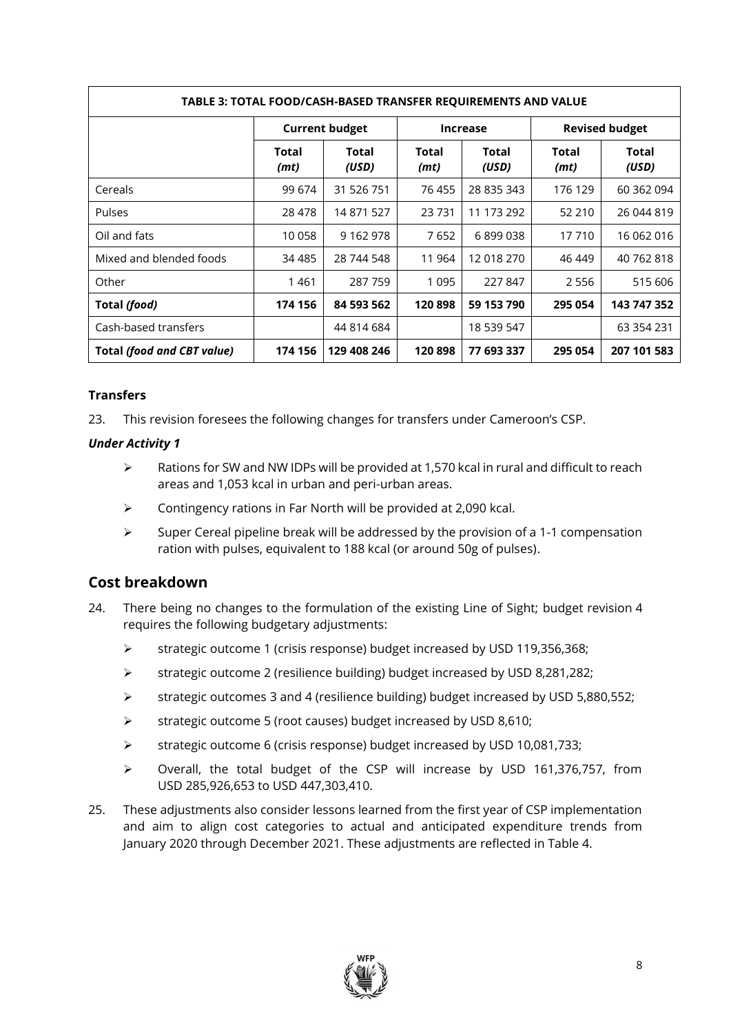| TABLE 3: TOTAL FOOD/CASH-BASED TRANSFER REQUIREMENTS AND VALUE |               |                       |                 |                |                       |                |
|----------------------------------------------------------------|---------------|-----------------------|-----------------|----------------|-----------------------|----------------|
|                                                                |               | <b>Current budget</b> | <b>Increase</b> |                | <b>Revised budget</b> |                |
|                                                                | Total<br>(mt) | Total<br>(USD)        | Total<br>(mt)   | Total<br>(USD) | Total<br>(mt)         | Total<br>(USD) |
| Cereals                                                        | 99 674        | 31 526 751            | 76 455          | 28 835 343     | 176 129               | 60 362 094     |
| <b>Pulses</b>                                                  | 28 478        | 14 871 527            | 23731           | 11 173 292     | 52 210                | 26 044 819     |
| Oil and fats                                                   | 10 058        | 9 162 978             | 7652            | 6899038        | 17 710                | 16 062 016     |
| Mixed and blended foods                                        | 34 4 85       | 28 744 548            | 11 964          | 12 018 270     | 46 449                | 40 762 818     |
| Other                                                          | 1461          | 287 759               | 1 0 9 5         | 227 847        | 2 5 5 6               | 515 606        |
| Total (food)                                                   | 174 156       | 84 593 562            | 120898          | 59 153 790     | 295 054               | 143 747 352    |
| Cash-based transfers                                           |               | 44 814 684            |                 | 18 539 547     |                       | 63 354 231     |
| <b>Total (food and CBT value)</b>                              | 174 156       | 129 408 246           | 120898          | 77 693 337     | 295 054               | 207 101 583    |

## **Transfers**

23. This revision foresees the following changes for transfers under Cameroon's CSP.

#### *Under Activity 1*

- $\triangleright$  Rations for SW and NW IDPs will be provided at 1,570 kcal in rural and difficult to reach areas and 1,053 kcal in urban and peri-urban areas.
- $\triangleright$  Contingency rations in Far North will be provided at 2.090 kcal.
- $\triangleright$  Super Cereal pipeline break will be addressed by the provision of a 1-1 compensation ration with pulses, equivalent to 188 kcal (or around 50g of pulses).

# **Cost breakdown**

- 24. There being no changes to the formulation of the existing Line of Sight; budget revision 4 requires the following budgetary adjustments:
	- ➢ strategic outcome 1 (crisis response) budget increased by USD 119,356,368;
	- ➢ strategic outcome 2 (resilience building) budget increased by USD 8,281,282;
	- ➢ strategic outcomes 3 and 4 (resilience building) budget increased by USD 5,880,552;
	- ➢ strategic outcome 5 (root causes) budget increased by USD 8,610;
	- ➢ strategic outcome 6 (crisis response) budget increased by USD 10,081,733;
	- ➢ Overall, the total budget of the CSP will increase by USD 161,376,757, from USD 285,926,653 to USD 447,303,410.
- 25. These adjustments also consider lessons learned from the first year of CSP implementation and aim to align cost categories to actual and anticipated expenditure trends from January 2020 through December 2021. These adjustments are reflected in Table 4.

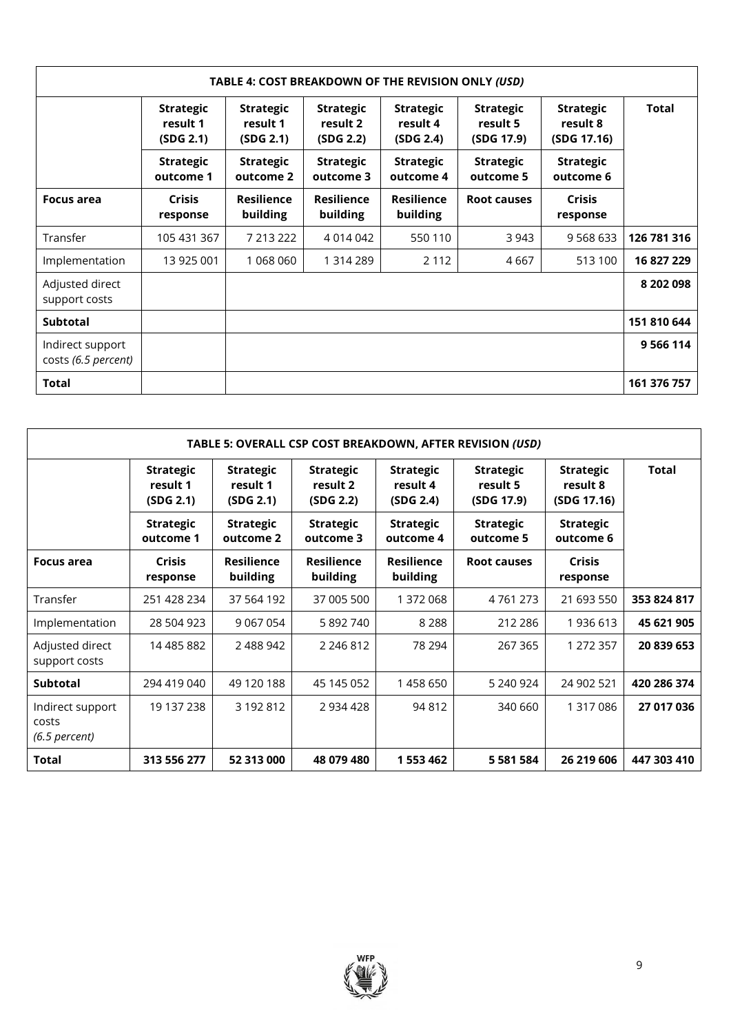| TABLE 4: COST BREAKDOWN OF THE REVISION ONLY (USD) |                                           |                                           |                                           |                                           |                                            |                                             |             |
|----------------------------------------------------|-------------------------------------------|-------------------------------------------|-------------------------------------------|-------------------------------------------|--------------------------------------------|---------------------------------------------|-------------|
|                                                    | <b>Strategic</b><br>result 1<br>(SDG 2.1) | <b>Strategic</b><br>result 1<br>(SDG 2.1) | <b>Strategic</b><br>result 2<br>(SDG 2.2) | <b>Strategic</b><br>result 4<br>(SDG 2.4) | <b>Strategic</b><br>result 5<br>(SDG 17.9) | <b>Strategic</b><br>result 8<br>(SDG 17.16) | Total       |
|                                                    | <b>Strategic</b><br>outcome 1             | <b>Strategic</b><br>outcome 2             | <b>Strategic</b><br>outcome 3             | <b>Strategic</b><br>outcome 4             | <b>Strategic</b><br>outcome 5              | <b>Strategic</b><br>outcome 6               |             |
| Focus area                                         | <b>Crisis</b><br>response                 | <b>Resilience</b><br>building             | <b>Resilience</b><br>building             | <b>Resilience</b><br>building             | <b>Root causes</b>                         | <b>Crisis</b><br>response                   |             |
| Transfer                                           | 105 431 367                               | 7 213 222                                 | 4 0 1 4 0 4 2                             | 550 110                                   | 3 943                                      | 9 5 6 8 6 3 3                               | 126 781 316 |
| Implementation                                     | 13 925 001                                | 1 068 060                                 | 1 314 289                                 | 2 1 1 2                                   | 4 6 6 7                                    | 513 100                                     | 16 827 229  |
| Adjusted direct<br>support costs                   |                                           |                                           |                                           |                                           |                                            |                                             | 8 202 098   |
| <b>Subtotal</b>                                    |                                           |                                           |                                           |                                           |                                            |                                             | 151 810 644 |
| Indirect support<br>costs (6.5 percent)            |                                           |                                           |                                           |                                           |                                            |                                             | 9 5 6 114   |
| <b>Total</b>                                       |                                           |                                           |                                           |                                           |                                            |                                             | 161 376 757 |

| TABLE 5: OVERALL CSP COST BREAKDOWN, AFTER REVISION (USD) |                                           |                                           |                                           |                                           |                                            |                                             |             |
|-----------------------------------------------------------|-------------------------------------------|-------------------------------------------|-------------------------------------------|-------------------------------------------|--------------------------------------------|---------------------------------------------|-------------|
|                                                           | <b>Strategic</b><br>result 1<br>(SDG 2.1) | <b>Strategic</b><br>result 1<br>(SDG 2.1) | <b>Strategic</b><br>result 2<br>(SDG 2.2) | <b>Strategic</b><br>result 4<br>(SDG 2.4) | <b>Strategic</b><br>result 5<br>(SDG 17.9) | <b>Strategic</b><br>result 8<br>(SDG 17.16) | Total       |
|                                                           | <b>Strategic</b><br>outcome 1             | <b>Strategic</b><br>outcome 2             | <b>Strategic</b><br>outcome 3             | <b>Strategic</b><br>outcome 4             | <b>Strategic</b><br>outcome 5              | <b>Strategic</b><br>outcome 6               |             |
| Focus area                                                | <b>Crisis</b><br>response                 | <b>Resilience</b><br>building             | <b>Resilience</b><br>building             | <b>Resilience</b><br>building             | <b>Root causes</b>                         | <b>Crisis</b><br>response                   |             |
| Transfer                                                  | 251 428 234                               | 37 564 192                                | 37 005 500                                | 1 372 068                                 | 4 7 6 1 2 7 3                              | 21 693 550                                  | 353 824 817 |
| Implementation                                            | 28 504 923                                | 9 0 6 7 0 5 4                             | 5 892 740                                 | 8 2 8 8                                   | 212 286                                    | 1936 613                                    | 45 621 905  |
| Adjusted direct<br>support costs                          | 14 485 882                                | 2 488 942                                 | 2 2 4 6 8 1 2                             | 78 294                                    | 267 365                                    | 1 272 357                                   | 20 839 653  |
| <b>Subtotal</b>                                           | 294 419 040                               | 49 120 188                                | 45 145 052                                | 1458650                                   | 5 240 924                                  | 24 902 521                                  | 420 286 374 |
| Indirect support<br>costs<br>$(6.5$ percent)              | 19 137 238                                | 3 192 812                                 | 2934428                                   | 94 812                                    | 340 660                                    | 1 317 086                                   | 27 017 036  |
| Total                                                     | 313 556 277                               | 52 313 000                                | 48 079 480                                | 1 553 462                                 | 5 581 584                                  | 26 219 606                                  | 447 303 410 |